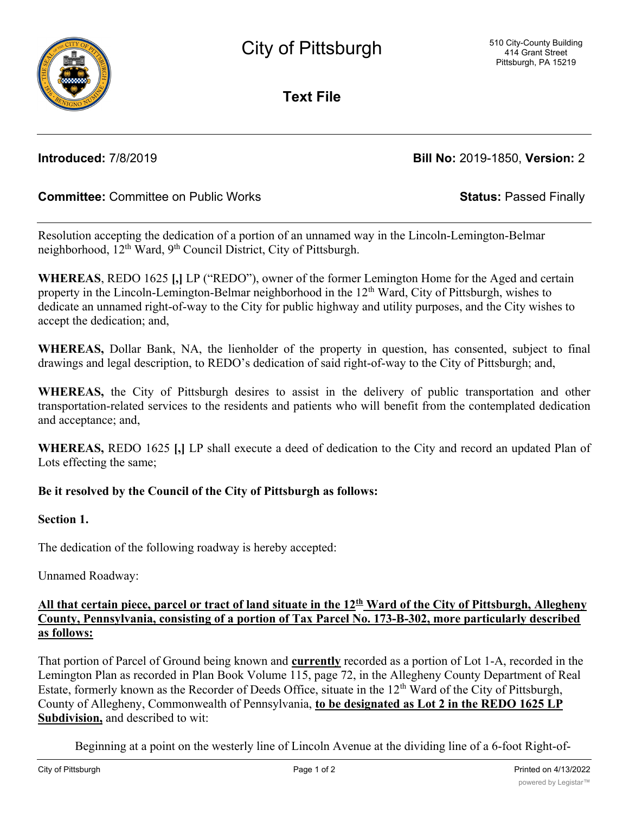**Text File**

**Introduced:** 7/8/2019 **Bill No:** 2019-1850, **Version:** 2

# **Committee:** Committee on Public Works **Status:** Passed Finally

Resolution accepting the dedication of a portion of an unnamed way in the Lincoln-Lemington-Belmar neighborhood, 12<sup>th</sup> Ward, 9<sup>th</sup> Council District, City of Pittsburgh.

**WHEREAS**, REDO 1625 **[,]** LP ("REDO"), owner of the former Lemington Home for the Aged and certain property in the Lincoln-Lemington-Belmar neighborhood in the 12<sup>th</sup> Ward, City of Pittsburgh, wishes to dedicate an unnamed right-of-way to the City for public highway and utility purposes, and the City wishes to accept the dedication; and,

**WHEREAS,** Dollar Bank, NA, the lienholder of the property in question, has consented, subject to final drawings and legal description, to REDO's dedication of said right-of-way to the City of Pittsburgh; and,

**WHEREAS,** the City of Pittsburgh desires to assist in the delivery of public transportation and other transportation-related services to the residents and patients who will benefit from the contemplated dedication and acceptance; and,

**WHEREAS,** REDO 1625 **[,]** LP shall execute a deed of dedication to the City and record an updated Plan of Lots effecting the same;

## **Be it resolved by the Council of the City of Pittsburgh as follows:**

### **Section 1.**

The dedication of the following roadway is hereby accepted:

Unnamed Roadway:

### All that certain piece, parcel or tract of land situate in the 12<sup>th</sup> Ward of the City of Pittsburgh, Allegheny **County, Pennsylvania, consisting of a portion of Tax Parcel No. 173-B-302, more particularly described as follows:**

That portion of Parcel of Ground being known and **currently** recorded as a portion of Lot 1-A, recorded in the Lemington Plan as recorded in Plan Book Volume 115, page 72, in the Allegheny County Department of Real Estate, formerly known as the Recorder of Deeds Office, situate in the  $12<sup>th</sup>$  Ward of the City of Pittsburgh, County of Allegheny, Commonwealth of Pennsylvania, **to be designated as Lot 2 in the REDO 1625 LP Subdivision,** and described to wit:

Beginning at a point on the westerly line of Lincoln Avenue at the dividing line of a 6-foot Right-of-